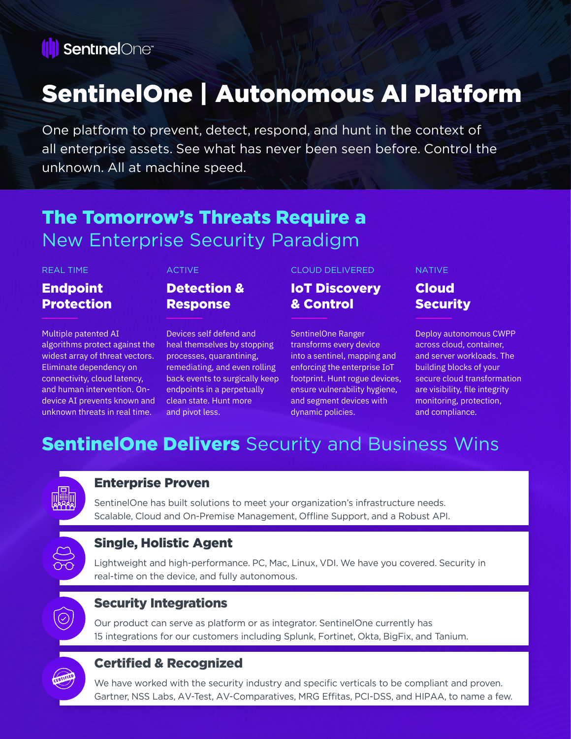

# SentinelOne | Autonomous Al Platform

One platform to prevent, detect, respond, and hunt in the context of all enterprise assets. See what has never been seen before. Control the unknown. All at machine speed.

## The Tomorrow's Threats Require a New Enterprise Security Paradigm

#### REAL TIME

### Endpoint **Protection**

Multiple patented AI algorithms protect against the widest array of threat vectors. Eliminate dependency on connectivity, cloud latency, and human intervention. Ondevice AI prevents known and unknown threats in real time.

#### ACTIVE

### Detection & Response

Devices self defend and heal themselves by stopping processes, quarantining, remediating, and even rolling back events to surgically keep endpoints in a perpetually clean state. Hunt more and pivot less.

#### CLOUD DELIVERED

IoT Discovery & Control

SentinelOne Ranger transforms every device into a sentinel, mapping and enforcing the enterprise IoT footprint. Hunt rogue devices, ensure vulnerability hygiene, and segment devices with dynamic policies.

#### NATIVE

#### Cloud **Security**

Deploy autonomous CWPP across cloud, container, and server workloads. The building blocks of your secure cloud transformation are visibility, file integrity monitoring, protection, and compliance.

## **SentinelOne Delivers** Security and Business Wins



#### Enterprise Proven

SentinelOne has built solutions to meet your organization's infrastructure needs. Scalable, Cloud and On-Premise Management, Offline Support, and a Robust API.

### Single, Holistic Agent

Lightweight and high-performance. PC, Mac, Linux, VDI. We have you covered. Security in real-time on the device, and fully autonomous.



#### Security Integrations

Our product can serve as platform or as integrator. SentinelOne currently has 15 integrations for our customers including Splunk, Fortinet, Okta, BigFix, and Tanium.

### Certified & Recognized

We have worked with the security industry and specific verticals to be compliant and proven. Gartner, NSS Labs, AV-Test, AV-Comparatives, MRG Effitas, PCI-DSS, and HIPAA, to name a few.